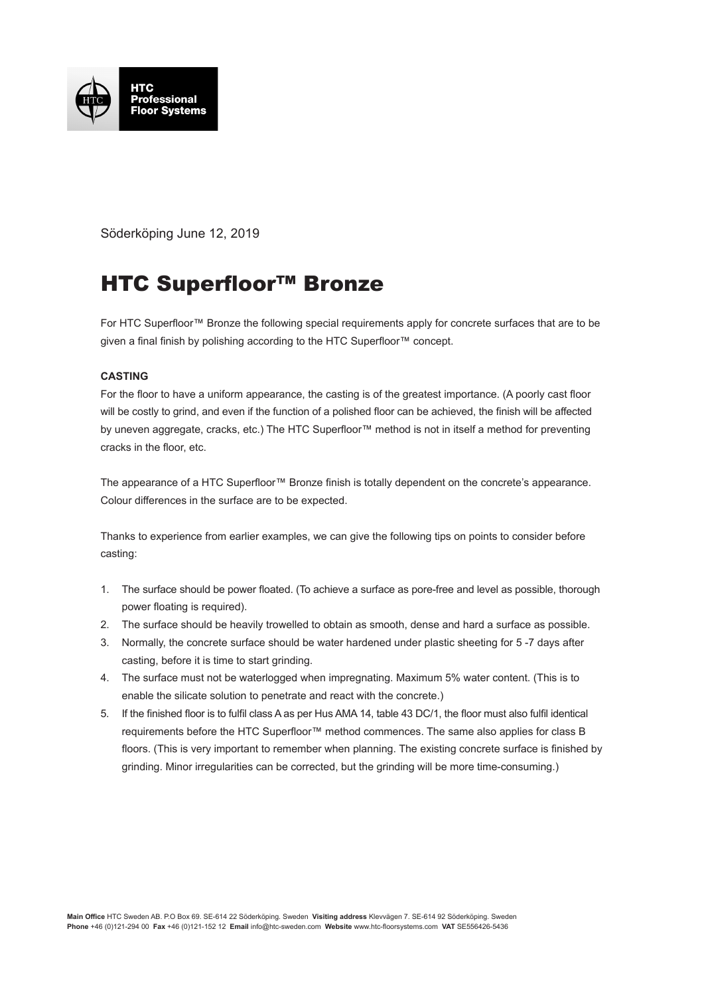

Söderköping June 12, 2019

## HTC Superfloor™ Bronze

For HTC Superfloor™ Bronze the following special requirements apply for concrete surfaces that are to be given a final finish by polishing according to the HTC Superfloor<sup>™</sup> concept.

## **CASTING**

For the floor to have a uniform appearance, the casting is of the greatest importance. (A poorly cast floor will be costly to grind, and even if the function of a polished floor can be achieved, the finish will be affected by uneven aggregate, cracks, etc.) The HTC Superfloor™ method is not in itself a method for preventing cracks in the floor, etc.

The appearance of a HTC Superfloor™ Bronze finish is totally dependent on the concrete's appearance. Colour differences in the surface are to be expected.

Thanks to experience from earlier examples, we can give the following tips on points to consider before casting:

- 1. The surface should be power floated. (To achieve a surface as pore-free and level as possible, thorough power floating is required).
- 2. The surface should be heavily trowelled to obtain as smooth, dense and hard a surface as possible.
- 3. Normally, the concrete surface should be water hardened under plastic sheeting for 5 -7 days after casting, before it is time to start grinding.
- 4. The surface must not be waterlogged when impregnating. Maximum 5% water content. (This is to enable the silicate solution to penetrate and react with the concrete.)
- 5. If the finished floor is to fulfil class A as per Hus AMA 14, table 43 DC/1, the floor must also fulfil identical requirements before the HTC Superfloor™ method commences. The same also applies for class B floors. (This is very important to remember when planning. The existing concrete surface is finished by grinding. Minor irregularities can be corrected, but the grinding will be more time-consuming.)